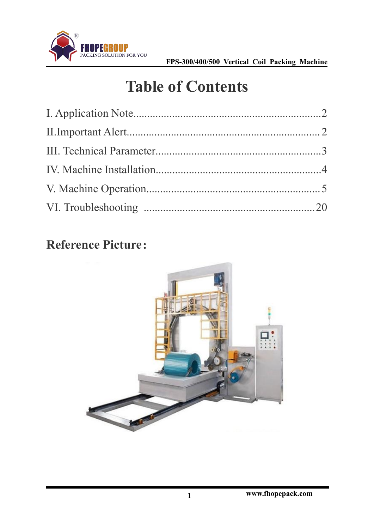

# **Table of Contents**

### **Reference Picture**:

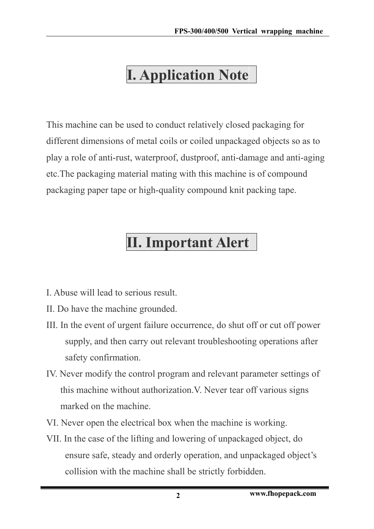# <span id="page-1-0"></span>**I. Application Note**

This machine can be used to conduct relatively closed packaging for different dimensions of metal coils or coiled unpackaged objects so as to play a role of anti-rust, waterproof, dustproof, anti-damage and anti-aging etc. The packaging material mating with this machine is of compound packaging paper tape or high-quality compound knit packing tape.

# <span id="page-1-1"></span>**II. Important Alert**

- I. Abuse will lead to serious result.
- II. Do have the machine grounded.
- III. In the event of urgent failure occurrence, do shut off or cut off power supply, and then carry out relevant troubleshooting operations after safety confirmation.
- IV. Never modify the control program and relevant parameter settings of this machine without authorization.V. Never tear off various signs marked on the machine.
- VI. Never open the electrical box when the machine is working.
- VII. In the case of the lifting and lowering of unpackaged object, do ensure safe, steady and orderly operation, and unpackaged object's collision with the machine shall be strictly forbidden.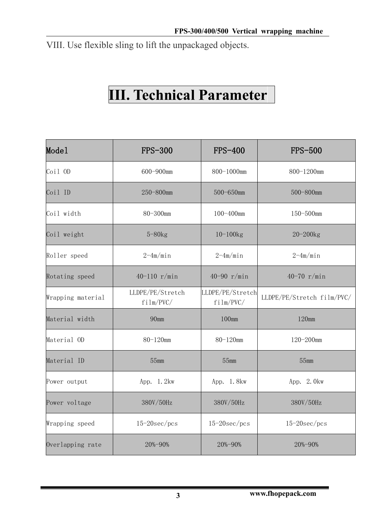VIII. Use flexible sling to lift the unpackaged objects.

### **III. Technical Parameter**

| Mode1             | <b>FPS-300</b>                | <b>FPS-400</b>                | <b>FPS-500</b>             |
|-------------------|-------------------------------|-------------------------------|----------------------------|
| $Coi1$ OD         | 600-900mm                     | 800-1000mm                    | 800-1200mm                 |
| Coil ID           | 250-800mm                     | 500-650mm                     | 500-800mm                  |
| Coil width        | 80-300mm                      | 100-400mm                     | 150-500mm                  |
| Coil weight       | $5 - 80$ $kg$                 | $10 - 100$ $kg$               | $20 - 200$ kg              |
| Roller speed      | $2-4m/min$                    | $2-4m/min$                    | $2-4m/min$                 |
| Rotating speed    | 40-110 $r/min$                | 40-90 $r/min$                 | 40-70 $r/min$              |
| Wrapping material | LLDPE/PE/Stretch<br>film/PVC/ | LLDPE/PE/Stretch<br>film/PVC/ | LLDPE/PE/Stretch film/PVC/ |
| Material width    | 90mm                          | 100mm                         | 120mm                      |
| Material OD       | 80-120mm                      | 80-120mm                      | 120-200mm                  |
| Material ID       | 55mm                          | 55mm                          | 55mm                       |
| Power output      | App. 1.2kw                    | App. 1.8kw                    | App. 2.0kw                 |
| Power voltage     | 380V/50Hz                     | 380V/50Hz                     | 380V/50Hz                  |
| Wrapping speed    | $15-20$ sec/pcs               | $15-20$ sec/pcs               | $15-20$ sec/pcs            |
| Overlapping rate  | 20%-90%                       | 20%-90%                       | 20%-90%                    |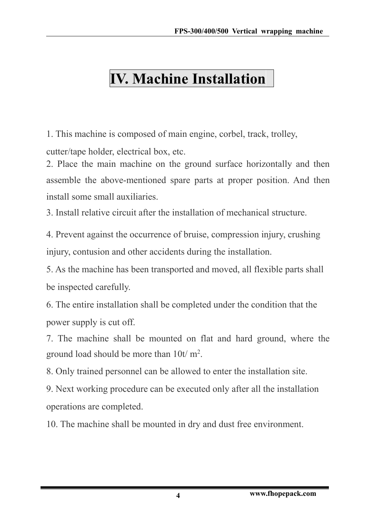# **IV. Machine Installation**

1. This machine is composed of main engine, corbel, track, trolley, cutter/tape holder, electrical box, etc.

2. Place the main machine on the ground surface horizontally and then assemble the above-mentioned spare parts at proper position. And then install some small auxiliaries.

3. Install relative circuit after the installation of mechanical structure.

4. Prevent against the occurrence of bruise, compression injury, crushing injury, contusion and other accidents during the installation.

5. As the machine has been transported and moved, all flexible parts shall be inspected carefully.

6. The entire installation shall be completed under the condition that the power supply is cut off.

7. The machine shall be mounted on flat and hard ground, where the ground load should be more than  $10t/m^2$ . .

8. Only trained personnel can be allowed to enter the installation site.

9. Next working procedure can be executed only after all the installation operations are completed.

10. The machine shall be mounted in dry and dust free environment.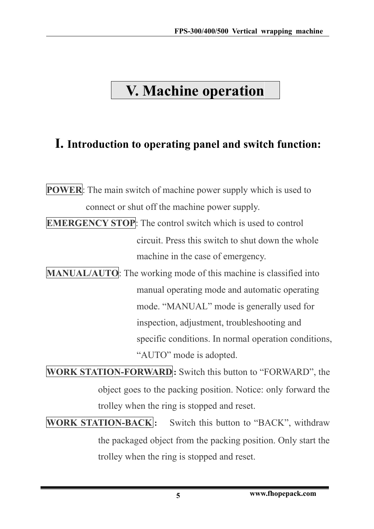### <span id="page-4-0"></span>**V. Machine operation**

### **I. Introduction to operating panel and switch function:**

**POWER**: The main switch of machine power supply which is used to connect or shut off the machine power supply.

**EMERGENCY STOP**: The control switch which is used to control circuit. Press this switch to shut down the whole machine in the case of emergency.

**MANUAL/AUTO**: The working mode of this machine is classified into manual operating mode and automatic operating mode. "MANUAL" mode is generally used for inspection, adjustment, troubleshooting and specific conditions. In normal operation conditions, "AUTO" mode is adopted.

**WORK STATION-FORWARD:** Switch this button to "FORWARD", the object goes to the packing position. Notice: only forward the trolley when the ring is stopped and reset.

**WORK STATION-BACK**: Switch this button to "BACK", withdraw the packaged object from the packing position. Only start the trolley when the ring is stopped and reset.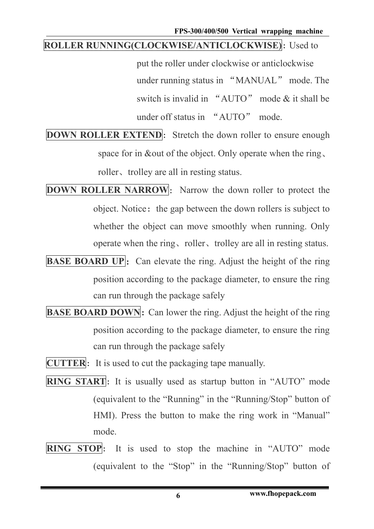**FPS-300/400/500 Vertical wrapping machine**

#### **ROLLER RUNNING(CLOCKWISE/ANTICLOCKWISE)**: Used to

put the roller under clockwise or anticlockwise under running status in "MANUAL" mode. The switch is invalid in "AUTO" mode & it shall be under off status in "AUTO" mode.

- **DOWN ROLLER EXTEND**: Stretch the down roller to ensure enough space for in &out of the object. Only operate when the ring, roller、trolley are all in resting status.
- **DOWN ROLLER NARROW**: Narrow the down roller to protect the object. Notice: the gap between the down rollers is subject to whether the object can move smoothly when running. Only operate when the ring、roller、trolley are all in resting status.
- **BASE BOARD UP:** Can elevate the ring. Adjust the height of the ring position according to the package diameter, to ensure the ring can run through the package safely
- **BASE BOARD DOWN:** Can lower the ring. Adjust the height of the ring position according to the package diameter, to ensure the ring can run through the package safely
- **CUTTER**: It is used to cut the packaging tape manually.
- **RING START**: It is usually used as startup button in "AUTO" mode (equivalent to the "Running" in the "Running/Stop" button of HMI). Press the button to make the ring work in "Manual" mode.
- **RING STOP**: It is used to stop the machine in "AUTO" mode (equivalent to the "Stop" in the "Running/Stop" button of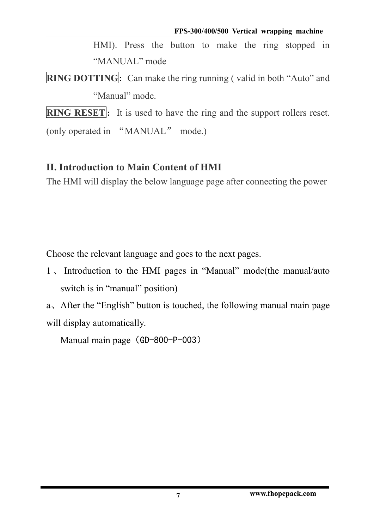HMI). Press the button to make the ring stopped in "MANUAL" mode

**RING DOTTING**: Can make the ring running ( valid in both "Auto" and "Manual" mode.

**RING RESET**: It is used to have the ring and the support rollers reset.

(only operated in "MANUAL" mode.)

### **II. Introduction to Main Content of HMI**

The HMI will display the below language page after connecting the power

Choose the relevant language and goes to the next pages.

1 、 Introduction to the HMI pages in "Manual" mode(the manual/auto switch is in "manual" position)

a、After the "English" button is touched, the following manual main page will display automatically.

Manual main page (GD-800-P-003)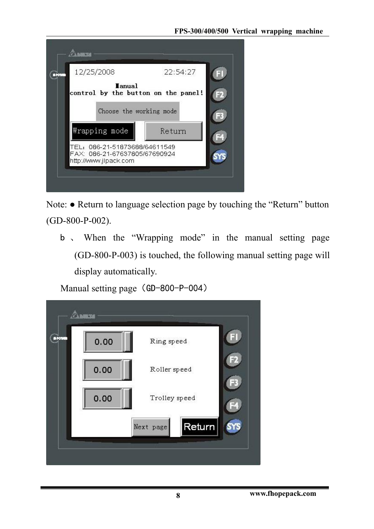

Note: ● Return to language selection page by touching the "Return" button (GD-800-P-002).

b 、 When the "Wrapping mode" in the manual setting page (GD-800-P-003) is touched, the following manual setting page will display automatically.

Manual setting page (GD-800-P-004)

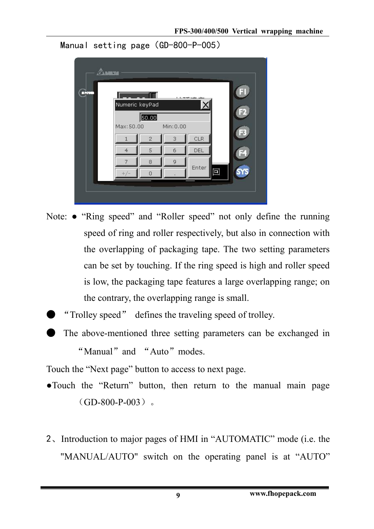```
Manual setting page (GD-800-P-005)
```


- Note: "Ring speed" and "Roller speed" not only define the running speed of ring and roller respectively, but also in connection with the overlapping of packaging tape. The two setting parameters can be set by touching. If the ring speed is high and roller speed is low, the packaging tape features a large overlapping range; on the contrary, the overlapping range is small.
	- "Trolley speed" defines the traveling speed of trolley.
	- The above-mentioned three setting parameters can be exchanged in

"Manual" and "Auto" modes.

Touch the "Next page" button to access to next page.

- ●Touch the "Return" button, then return to the manual main page  $(GD-800-P-003)$
- 2、Introduction to major pages of HMI in "AUTOMATIC" mode (i.e. the "MANUAL/AUTO" switch on the operating panel is at "AUTO"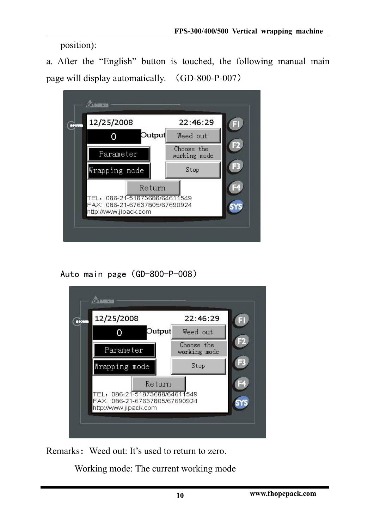position):

a. After the "English" button is touched, the following manual main page will display automatically. (GD-800-P-007)



Auto main page(GD-800-P-008)



Remarks: Weed out: It's used to return to zero.

Working mode: The current working mode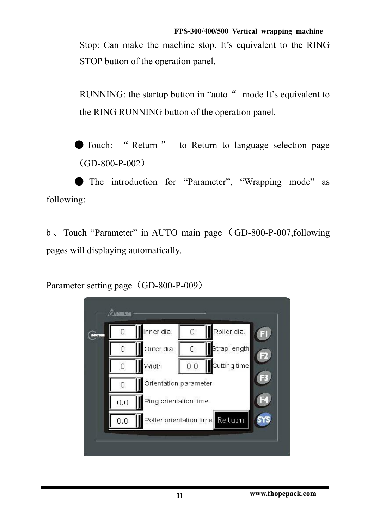Stop: Can make the machine stop. It's equivalent to the RING STOP button of the operation panel.

RUNNING: the startup button in "auto " mode It's equivalent to the RING RUNNING button of the operation panel.

● Touch: " Return " to Return to language selection page (GD-800-P-002)

● The introduction for "Parameter", "Wrapping mode" as following:

b, Touch "Parameter" in AUTO main page (GD-800-P-007,following pages will displaying automatically.

Parameter setting page (GD-800-P-009)

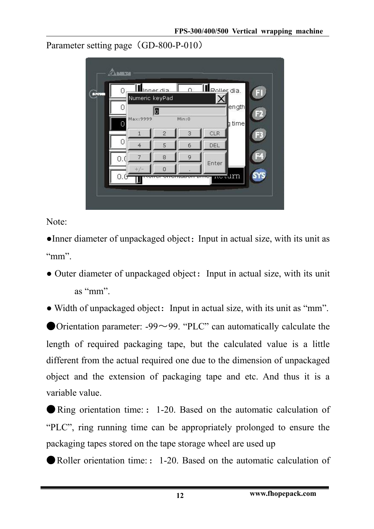Parameter setting page (GD-800-P-010)

| <b>BROTH</b> |        | Numeric keyPad | Inner dia      |       | Ill Poller dia. |                     |  |
|--------------|--------|----------------|----------------|-------|-----------------|---------------------|--|
|              |        |                | O              |       |                 | ength               |  |
|              | $\cap$ | Max: 9999      |                | Min:0 |                 | time                |  |
|              |        |                | $\overline{2}$ | 3     | <b>CLR</b>      |                     |  |
|              | Ω      | $\overline{4}$ | 5              | 6     | DEL             |                     |  |
|              | 0.     | 7              | 8              | 9     |                 |                     |  |
|              |        |                | $\overline{O}$ |       | Enter           |                     |  |
|              | U.U    |                |                | ञम    | ᇭ               | <del>no l</del> arn |  |

Note:

●Inner diameter of unpackaged object:Input in actual size, with its unit as " $mm$ ".

• Outer diameter of unpackaged object: Input in actual size, with its unit as "mm".

• Width of unpackaged object: Input in actual size, with its unit as "mm".

Orientation parameter:  $-99 \sim 99$ . "PLC" can automatically calculate the length of required packaging tape, but the calculated value is a little different from the actual required one due to the dimension of unpackaged object and the extension of packaging tape and etc. And thus it is a variable value.

● Ring orientation time: : 1-20. Based on the automatic calculation of "PLC", ring running time can be appropriately prolonged to ensure the packaging tapes stored on the tape storage wheel are used up

● Roller orientation time:: 1-20. Based on the automatic calculation of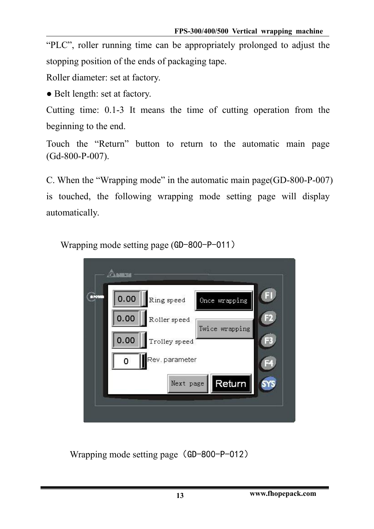"PLC", roller running time can be appropriately prolonged to adjust the stopping position of the ends of packaging tape.

Roller diameter: set at factory.

● Belt length: set at factory.

Cutting time: 0.1-3 It means the time of cutting operation from the beginning to the end.

Touch the "Return" button to return to the automatic main page (Gd-800-P-007).

C. When the "Wrapping mode" in the automatic main page(GD-800-P-007) is touched, the following wrapping mode setting page will display automatically.



Wrapping mode setting page (GD-800-P-011)

Wrapping mode setting page (GD-800-P-012)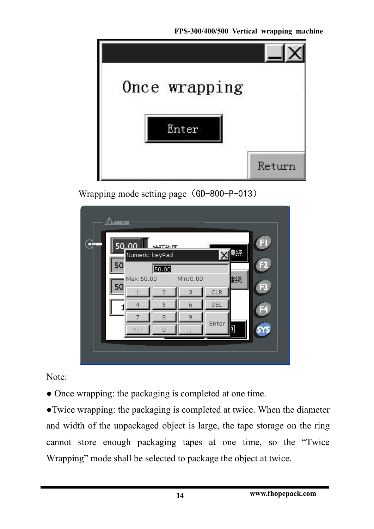**FPS-300/400/500 Vertical wrapping machine**



Wrapping mode setting page (GD-800-P-013)

| <b>SPON</b> | 50.00<br>Numeric keyPad<br>50 | 计环流度                    |                                        |       | 重绕 | 큷 |
|-------------|-------------------------------|-------------------------|----------------------------------------|-------|----|---|
|             | Max: 50.00<br>50<br>1         | 50.00<br>$\overline{2}$ | Min: 0.00<br>$\ensuremath{\mathsf{3}}$ | CLR   | 重绕 |   |
|             | $\overline{4}$                | 5                       | 6                                      | DEL   |    |   |
|             | 7                             | 8                       | 9                                      | Enter |    |   |
|             |                               | л                       |                                        |       | Ō  |   |
|             |                               |                         |                                        |       |    |   |

Note:

● Once wrapping: the packaging is completed at one time.

●Twice wrapping: the packaging is completed at twice. When the diameter and width of the unpackaged object is large, the tape storage on the ring cannot store enough packaging tapes at one time, so the "Twice Wrapping" mode shall be selected to package the object at twice.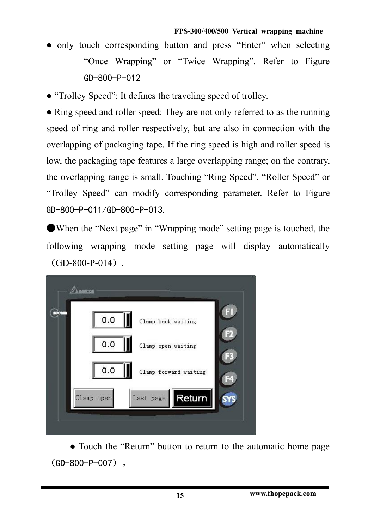- only touch corresponding button and press "Enter" when selecting "Once Wrapping" or "Twice Wrapping". Refer to Figure GD-800-P-012
- "Trolley Speed": It defines the traveling speed of trolley.

• Ring speed and roller speed: They are not only referred to as the running speed of ring and roller respectively, but are also in connection with the overlapping of packaging tape. If the ring speed is high and roller speed is low, the packaging tape features a large overlapping range; on the contrary, the overlapping range is small. Touching "Ring Speed", "Roller Speed" or "Trolley Speed" can modify corresponding parameter. Refer to Figure GD-800-P-011/GD-800-P-013.

●When the "Next page" in "Wrapping mode" setting page is touched, the following wrapping mode setting page will display automatically  $(GD-800-P-014)$ .



● Touch the "Return" button to return to the automatic home page (GD-800-P-007)。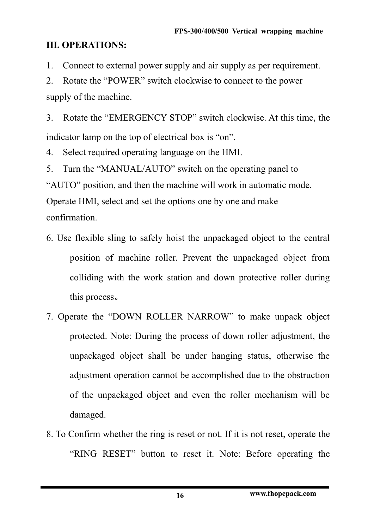### **III. OPERATIONS:**

1. Connect to external power supply and air supply as per requirement.

2. Rotate the "POWER" switch clockwise to connect to the power supply of the machine.

3. Rotate the "EMERGENCY STOP" switch clockwise. At this time, the indicator lamp on the top of electrical box is "on".

4. Select required operating language on the HMI.

5. Turn the "MANUAL/AUTO" switch on the operating panel to "AUTO" position, and then the machine will work in automatic mode. Operate HMI, select and set the options one by one and make confirmation.

- 6. Use flexible sling to safely hoist the unpackaged object to the central position of machine roller. Prevent the unpackaged object from colliding with the work station and down protective roller during this process。
- 7. Operate the "DOWN ROLLER NARROW" to make unpack object protected. Note: During the process of down roller adjustment, the unpackaged object shall be under hanging status, otherwise the adjustment operation cannot be accomplished due to the obstruction of the unpackaged object and even the roller mechanism will be damaged.
- 8. To Confirm whether the ring is reset or not. If it is not reset, operate the "RING RESET" button to reset it. Note: Before operating the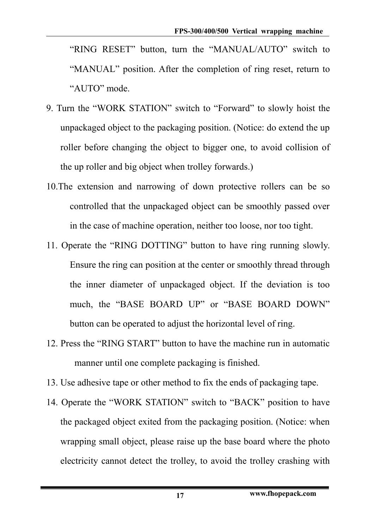"RING RESET" button, turn the "MANUAL/AUTO" switch to "MANUAL" position. After the completion of ring reset, return to "AUTO" mode.

- 9. Turn the "WORK STATION" switch to "Forward" to slowly hoist the unpackaged object to the packaging position. (Notice: do extend the up roller before changing the object to bigger one, to avoid collision of the up roller and big object when trolley forwards.)
- 10.The extension and narrowing of down protective rollers can be so controlled that the unpackaged object can be smoothly passed over in the case of machine operation, neither too loose, nor too tight.
- 11. Operate the "RING DOTTING" button to have ring running slowly. Ensure the ring can position at the center or smoothly thread through the inner diameter of unpackaged object. If the deviation is too much, the "BASE BOARD UP" or "BASE BOARD DOWN" button can be operated to adjust the horizontal level of ring.
- 12. Press the "RING START" button to have the machine run in automatic manner until one complete packaging is finished.
- 13. Use adhesive tape or other method to fix the ends of packaging tape.
- 14. Operate the "WORK STATION" switch to "BACK" position to have the packaged object exited from the packaging position. (Notice: when wrapping small object, please raise up the base board where the photo electricity cannot detect the trolley, to avoid the trolley crashing with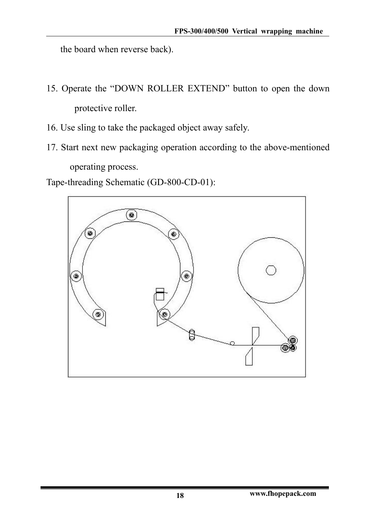the board when reverse back).

- 15. Operate the "DOWN ROLLER EXTEND" button to open the down protective roller.
- 16. Use sling to take the packaged object away safely.
- 17. Start next new packaging operation according to the above-mentioned operating process.

Tape-threading Schematic (GD-800-CD-01):

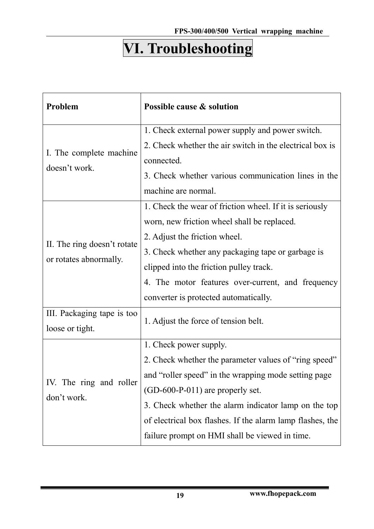# **VI. Troubleshooting**

| Problem                     | Possible cause & solution                                 |
|-----------------------------|-----------------------------------------------------------|
|                             | 1. Check external power supply and power switch.          |
| I. The complete machine     | 2. Check whether the air switch in the electrical box is  |
| doesn't work.               | connected.                                                |
|                             | 3. Check whether various communication lines in the       |
|                             | machine are normal.                                       |
|                             | 1. Check the wear of friction wheel. If it is seriously   |
|                             | worn, new friction wheel shall be replaced.               |
|                             | 2. Adjust the friction wheel.                             |
| II. The ring doesn't rotate | 3. Check whether any packaging tape or garbage is         |
| or rotates abnormally.      | clipped into the friction pulley track.                   |
|                             | 4. The motor features over-current, and frequency         |
|                             | converter is protected automatically.                     |
| III. Packaging tape is too  | 1. Adjust the force of tension belt.                      |
| loose or tight.             |                                                           |
|                             | 1. Check power supply.                                    |
|                             | 2. Check whether the parameter values of "ring speed"     |
|                             | and "roller speed" in the wrapping mode setting page      |
| IV. The ring and roller     | $(GD-600-P-011)$ are properly set.                        |
| don't work.                 | 3. Check whether the alarm indicator lamp on the top      |
|                             | of electrical box flashes. If the alarm lamp flashes, the |
|                             |                                                           |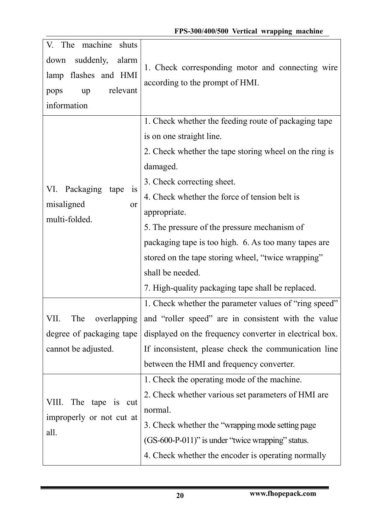| suddenly,<br>down<br>alarm<br>1. Check corresponding motor and connecting wire<br>lamp flashes and HMI<br>according to the prompt of HMI.<br>relevant<br>up<br>pops<br>information<br>1. Check whether the feeding route of packaging tape<br>is on one straight line.<br>2. Check whether the tape storing wheel on the ring is<br>damaged.<br>3. Check correcting sheet.<br>VI. Packaging tape<br>$\overline{1}S$<br>4. Check whether the force of tension belt is<br>misaligned<br>or<br>appropriate.<br>multi-folded.<br>5. The pressure of the pressure mechanism of<br>packaging tape is too high. 6. As too many tapes are<br>stored on the tape storing wheel, "twice wrapping"<br>shall be needed.<br>7. High-quality packaging tape shall be replaced.<br>1. Check whether the parameter values of "ring speed"<br>overlapping and "roller speed" are in consistent with the value<br>VII.<br>The<br>degree of packaging tape<br>displayed on the frequency converter in electrical box.<br>cannot be adjusted.<br>If inconsistent, please check the communication line<br>between the HMI and frequency converter.<br>1. Check the operating mode of the machine.<br>2. Check whether various set parameters of HMI are<br>The tape is cut<br>VIII.<br>normal.<br>improperly or not cut at<br>3. Check whether the "wrapping mode setting page<br>all.<br>(GS-600-P-011)" is under "twice wrapping" status.<br>4. Check whether the encoder is operating normally | V.<br>The machine<br>shuts |  |
|------------------------------------------------------------------------------------------------------------------------------------------------------------------------------------------------------------------------------------------------------------------------------------------------------------------------------------------------------------------------------------------------------------------------------------------------------------------------------------------------------------------------------------------------------------------------------------------------------------------------------------------------------------------------------------------------------------------------------------------------------------------------------------------------------------------------------------------------------------------------------------------------------------------------------------------------------------------------------------------------------------------------------------------------------------------------------------------------------------------------------------------------------------------------------------------------------------------------------------------------------------------------------------------------------------------------------------------------------------------------------------------------------------------------------------------------------------------------------|----------------------------|--|
|                                                                                                                                                                                                                                                                                                                                                                                                                                                                                                                                                                                                                                                                                                                                                                                                                                                                                                                                                                                                                                                                                                                                                                                                                                                                                                                                                                                                                                                                              |                            |  |
|                                                                                                                                                                                                                                                                                                                                                                                                                                                                                                                                                                                                                                                                                                                                                                                                                                                                                                                                                                                                                                                                                                                                                                                                                                                                                                                                                                                                                                                                              |                            |  |
|                                                                                                                                                                                                                                                                                                                                                                                                                                                                                                                                                                                                                                                                                                                                                                                                                                                                                                                                                                                                                                                                                                                                                                                                                                                                                                                                                                                                                                                                              |                            |  |
|                                                                                                                                                                                                                                                                                                                                                                                                                                                                                                                                                                                                                                                                                                                                                                                                                                                                                                                                                                                                                                                                                                                                                                                                                                                                                                                                                                                                                                                                              |                            |  |
|                                                                                                                                                                                                                                                                                                                                                                                                                                                                                                                                                                                                                                                                                                                                                                                                                                                                                                                                                                                                                                                                                                                                                                                                                                                                                                                                                                                                                                                                              |                            |  |
|                                                                                                                                                                                                                                                                                                                                                                                                                                                                                                                                                                                                                                                                                                                                                                                                                                                                                                                                                                                                                                                                                                                                                                                                                                                                                                                                                                                                                                                                              |                            |  |
|                                                                                                                                                                                                                                                                                                                                                                                                                                                                                                                                                                                                                                                                                                                                                                                                                                                                                                                                                                                                                                                                                                                                                                                                                                                                                                                                                                                                                                                                              |                            |  |
|                                                                                                                                                                                                                                                                                                                                                                                                                                                                                                                                                                                                                                                                                                                                                                                                                                                                                                                                                                                                                                                                                                                                                                                                                                                                                                                                                                                                                                                                              |                            |  |
|                                                                                                                                                                                                                                                                                                                                                                                                                                                                                                                                                                                                                                                                                                                                                                                                                                                                                                                                                                                                                                                                                                                                                                                                                                                                                                                                                                                                                                                                              |                            |  |
|                                                                                                                                                                                                                                                                                                                                                                                                                                                                                                                                                                                                                                                                                                                                                                                                                                                                                                                                                                                                                                                                                                                                                                                                                                                                                                                                                                                                                                                                              |                            |  |
|                                                                                                                                                                                                                                                                                                                                                                                                                                                                                                                                                                                                                                                                                                                                                                                                                                                                                                                                                                                                                                                                                                                                                                                                                                                                                                                                                                                                                                                                              |                            |  |
|                                                                                                                                                                                                                                                                                                                                                                                                                                                                                                                                                                                                                                                                                                                                                                                                                                                                                                                                                                                                                                                                                                                                                                                                                                                                                                                                                                                                                                                                              |                            |  |
|                                                                                                                                                                                                                                                                                                                                                                                                                                                                                                                                                                                                                                                                                                                                                                                                                                                                                                                                                                                                                                                                                                                                                                                                                                                                                                                                                                                                                                                                              |                            |  |
|                                                                                                                                                                                                                                                                                                                                                                                                                                                                                                                                                                                                                                                                                                                                                                                                                                                                                                                                                                                                                                                                                                                                                                                                                                                                                                                                                                                                                                                                              |                            |  |
|                                                                                                                                                                                                                                                                                                                                                                                                                                                                                                                                                                                                                                                                                                                                                                                                                                                                                                                                                                                                                                                                                                                                                                                                                                                                                                                                                                                                                                                                              |                            |  |
|                                                                                                                                                                                                                                                                                                                                                                                                                                                                                                                                                                                                                                                                                                                                                                                                                                                                                                                                                                                                                                                                                                                                                                                                                                                                                                                                                                                                                                                                              |                            |  |
|                                                                                                                                                                                                                                                                                                                                                                                                                                                                                                                                                                                                                                                                                                                                                                                                                                                                                                                                                                                                                                                                                                                                                                                                                                                                                                                                                                                                                                                                              |                            |  |
|                                                                                                                                                                                                                                                                                                                                                                                                                                                                                                                                                                                                                                                                                                                                                                                                                                                                                                                                                                                                                                                                                                                                                                                                                                                                                                                                                                                                                                                                              |                            |  |
|                                                                                                                                                                                                                                                                                                                                                                                                                                                                                                                                                                                                                                                                                                                                                                                                                                                                                                                                                                                                                                                                                                                                                                                                                                                                                                                                                                                                                                                                              |                            |  |
|                                                                                                                                                                                                                                                                                                                                                                                                                                                                                                                                                                                                                                                                                                                                                                                                                                                                                                                                                                                                                                                                                                                                                                                                                                                                                                                                                                                                                                                                              |                            |  |
|                                                                                                                                                                                                                                                                                                                                                                                                                                                                                                                                                                                                                                                                                                                                                                                                                                                                                                                                                                                                                                                                                                                                                                                                                                                                                                                                                                                                                                                                              |                            |  |
|                                                                                                                                                                                                                                                                                                                                                                                                                                                                                                                                                                                                                                                                                                                                                                                                                                                                                                                                                                                                                                                                                                                                                                                                                                                                                                                                                                                                                                                                              |                            |  |
|                                                                                                                                                                                                                                                                                                                                                                                                                                                                                                                                                                                                                                                                                                                                                                                                                                                                                                                                                                                                                                                                                                                                                                                                                                                                                                                                                                                                                                                                              |                            |  |
|                                                                                                                                                                                                                                                                                                                                                                                                                                                                                                                                                                                                                                                                                                                                                                                                                                                                                                                                                                                                                                                                                                                                                                                                                                                                                                                                                                                                                                                                              |                            |  |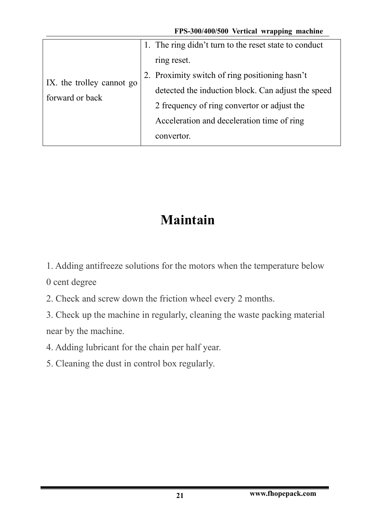| 1. The ring didn't turn to the reset state to conduct<br>ring reset.<br>2. Proximity switch of ring positioning hasn't<br>IX. the trolley cannot go<br>detected the induction block. Can adjust the speed<br>forward or back<br>2 frequency of ring convertor or adjust the<br>Acceleration and deceleration time of ring |
|---------------------------------------------------------------------------------------------------------------------------------------------------------------------------------------------------------------------------------------------------------------------------------------------------------------------------|
|                                                                                                                                                                                                                                                                                                                           |
| convertor.                                                                                                                                                                                                                                                                                                                |

### **Maintain**

1. Adding antifreeze solutions for the motors when the temperature below

0 cent degree

- 2. Check and screw down the friction wheel every 2 months.
- 3. Check up the machine in regularly, cleaning the waste packing material near by the machine.
- 4. Adding lubricant for the chain per half year.
- 5. Cleaning the dust in control box regularly.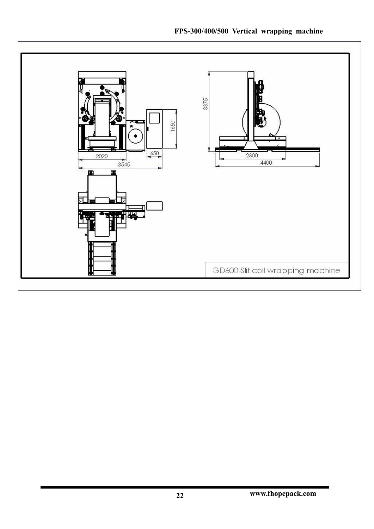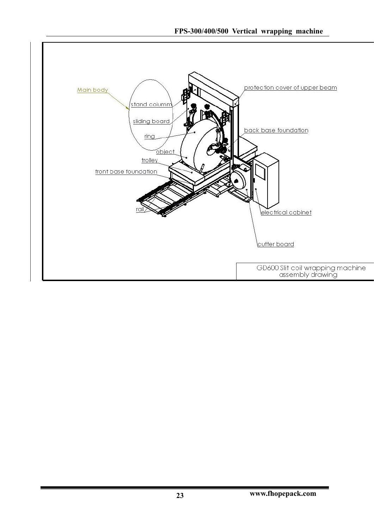